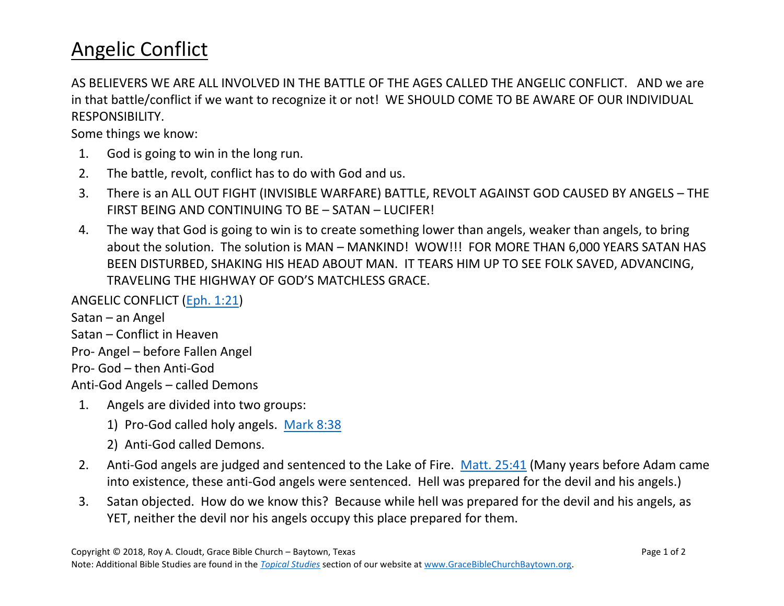## Angelic Conflict

AS BELIEVERS WE ARE ALL INVOLVED IN THE BATTLE OF THE AGES CALLED THE ANGELIC CONFLICT. AND we are in that battle/conflict if we want to recognize it or not! WE SHOULD COME TO BE AWARE OF OUR INDIVIDUAL RESPONSIBILITY.

Some things we know:

- 1. God is going to win in the long run.
- 2. The battle, revolt, conflict has to do with God and us.
- 3. There is an ALL OUT FIGHT (INVISIBLE WARFARE) BATTLE, REVOLT AGAINST GOD CAUSED BY ANGELS THE FIRST BEING AND CONTINUING TO BE – SATAN – LUCIFER!
- 4. The way that God is going to win is to create something lower than angels, weaker than angels, to bring about the solution. The solution is MAN – MANKIND! WOW!!! FOR MORE THAN 6,000 YEARS SATAN HAS BEEN DISTURBED, SHAKING HIS HEAD ABOUT MAN. IT TEARS HIM UP TO SEE FOLK SAVED, ADVANCING, TRAVELING THE HIGHWAY OF GOD'S MATCHLESS GRACE.

ANGELIC CONFLICT (Eph. [1:21\)](https://www.biblegateway.com/passage/?search=EPHESIANS+1%3A21&version=NASB)

Satan – an Angel Satan – Conflict in Heaven Pro- Angel – before Fallen Angel Pro- God – then Anti-God Anti-God Angels – called Demons

- 1. Angels are divided into two groups:
	- 1) Pro-God called holy angels. [Mark 8:38](https://www.biblegateway.com/passage/?search=Mark+8%3A38+&version=NASB)
	- 2) Anti-God called Demons.
- 2. Anti-God angels are judged and sentenced to the Lake of Fire. [Matt.](https://www.biblegateway.com/passage/?search=Matthew+25%3A41&version=NASB) 25:41 (Many years before Adam came into existence, these anti-God angels were sentenced. Hell was prepared for the devil and his angels.)
- 3. Satan objected. How do we know this? Because while hell was prepared for the devil and his angels, as YET, neither the devil nor his angels occupy this place prepared for them.